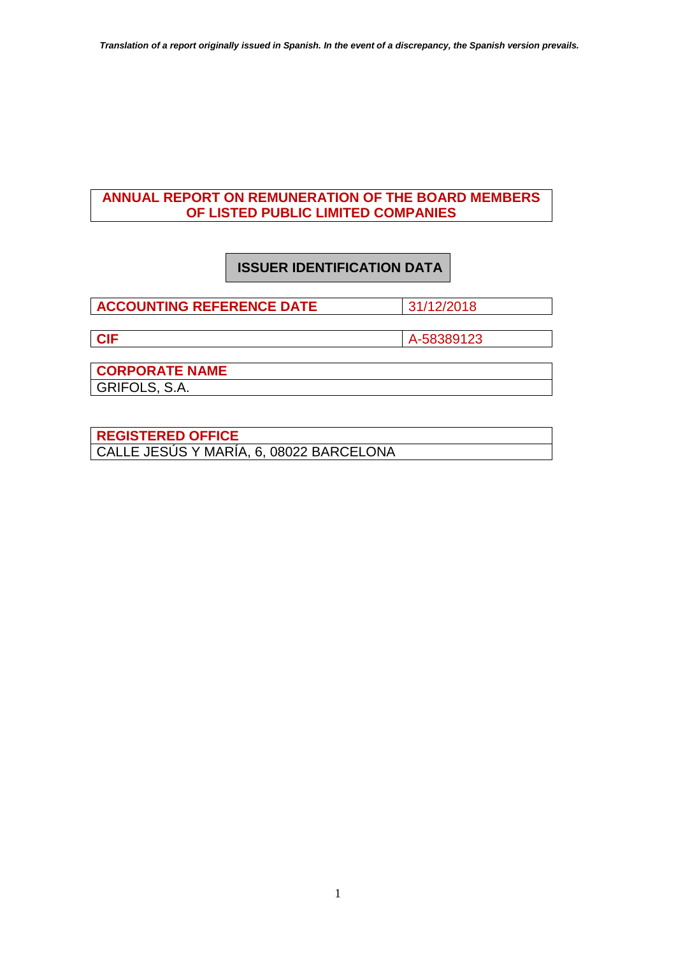### **ANNUAL REPORT ON REMUNERATION OF THE BOARD MEMBERS OF LISTED PUBLIC LIMITED COMPANIES**

# **ISSUER IDENTIFICATION DATA**

**ACCOUNTING REFERENCE DATE** 31/12/2018

**CIF** A-58389123

**CORPORATE NAME** GRIFOLS, S.A.

**REGISTERED OFFICE** CALLE JESÚS Y MARÍA, 6, 08022 BARCELONA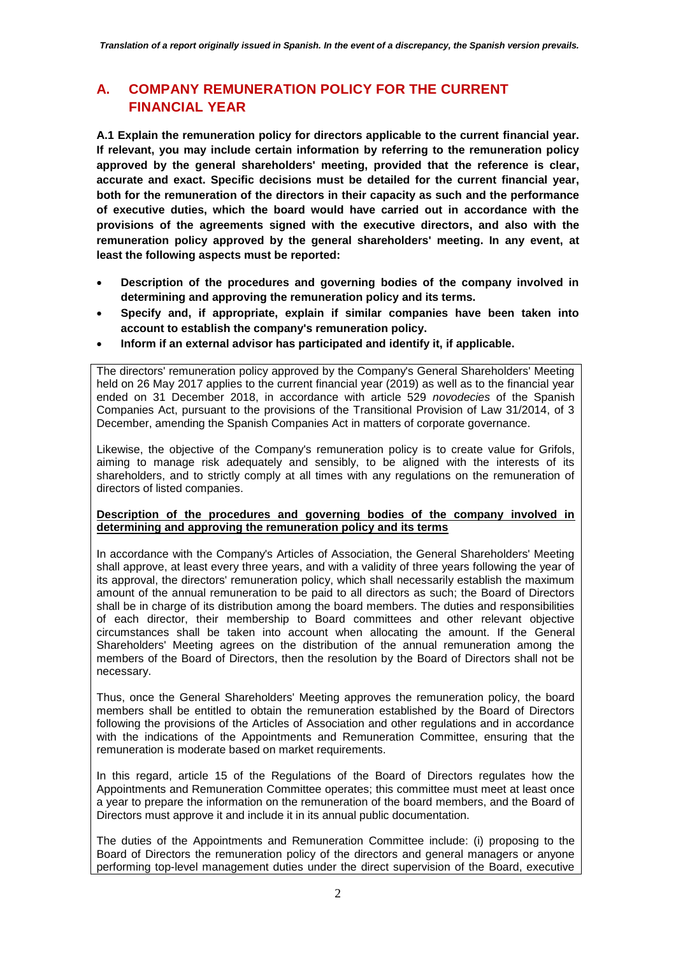# **A. COMPANY REMUNERATION POLICY FOR THE CURRENT FINANCIAL YEAR**

**A.1 Explain the remuneration policy for directors applicable to the current financial year. If relevant, you may include certain information by referring to the remuneration policy approved by the general shareholders' meeting, provided that the reference is clear, accurate and exact. Specific decisions must be detailed for the current financial year, both for the remuneration of the directors in their capacity as such and the performance of executive duties, which the board would have carried out in accordance with the provisions of the agreements signed with the executive directors, and also with the remuneration policy approved by the general shareholders' meeting. In any event, at least the following aspects must be reported:**

- **Description of the procedures and governing bodies of the company involved in determining and approving the remuneration policy and its terms.**
- **Specify and, if appropriate, explain if similar companies have been taken into account to establish the company's remuneration policy.**
- **Inform if an external advisor has participated and identify it, if applicable.**

The directors' remuneration policy approved by the Company's General Shareholders' Meeting held on 26 May 2017 applies to the current financial year (2019) as well as to the financial year ended on 31 December 2018, in accordance with article 529 *novodecies* of the Spanish Companies Act, pursuant to the provisions of the Transitional Provision of Law 31/2014, of 3 December, amending the Spanish Companies Act in matters of corporate governance.

Likewise, the objective of the Company's remuneration policy is to create value for Grifols, aiming to manage risk adequately and sensibly, to be aligned with the interests of its shareholders, and to strictly comply at all times with any regulations on the remuneration of directors of listed companies.

#### **Description of the procedures and governing bodies of the company involved in determining and approving the remuneration policy and its terms**

In accordance with the Company's Articles of Association, the General Shareholders' Meeting shall approve, at least every three years, and with a validity of three years following the year of its approval, the directors' remuneration policy, which shall necessarily establish the maximum amount of the annual remuneration to be paid to all directors as such; the Board of Directors shall be in charge of its distribution among the board members. The duties and responsibilities of each director, their membership to Board committees and other relevant objective circumstances shall be taken into account when allocating the amount. If the General Shareholders' Meeting agrees on the distribution of the annual remuneration among the members of the Board of Directors, then the resolution by the Board of Directors shall not be necessary.

Thus, once the General Shareholders' Meeting approves the remuneration policy, the board members shall be entitled to obtain the remuneration established by the Board of Directors following the provisions of the Articles of Association and other regulations and in accordance with the indications of the Appointments and Remuneration Committee, ensuring that the remuneration is moderate based on market requirements.

In this regard, article 15 of the Regulations of the Board of Directors regulates how the Appointments and Remuneration Committee operates; this committee must meet at least once a year to prepare the information on the remuneration of the board members, and the Board of Directors must approve it and include it in its annual public documentation.

The duties of the Appointments and Remuneration Committee include: (i) proposing to the Board of Directors the remuneration policy of the directors and general managers or anyone performing top-level management duties under the direct supervision of the Board, executive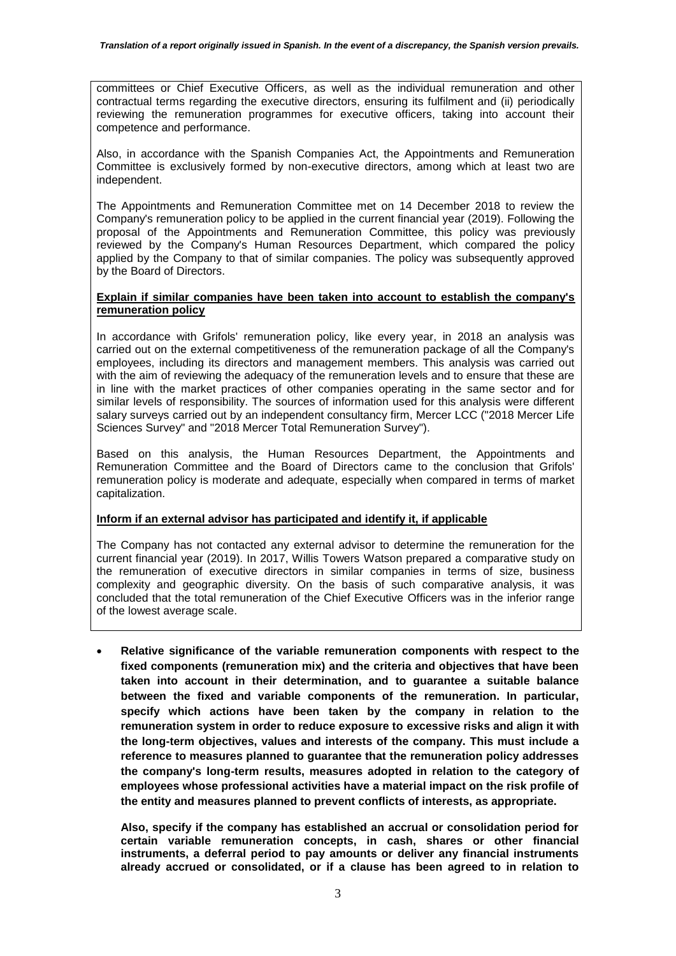committees or Chief Executive Officers, as well as the individual remuneration and other contractual terms regarding the executive directors, ensuring its fulfilment and (ii) periodically reviewing the remuneration programmes for executive officers, taking into account their competence and performance.

Also, in accordance with the Spanish Companies Act, the Appointments and Remuneration Committee is exclusively formed by non-executive directors, among which at least two are independent.

The Appointments and Remuneration Committee met on 14 December 2018 to review the Company's remuneration policy to be applied in the current financial year (2019). Following the proposal of the Appointments and Remuneration Committee, this policy was previously reviewed by the Company's Human Resources Department, which compared the policy applied by the Company to that of similar companies. The policy was subsequently approved by the Board of Directors.

#### **Explain if similar companies have been taken into account to establish the company's remuneration policy**

In accordance with Grifols' remuneration policy, like every year, in 2018 an analysis was carried out on the external competitiveness of the remuneration package of all the Company's employees, including its directors and management members. This analysis was carried out with the aim of reviewing the adequacy of the remuneration levels and to ensure that these are in line with the market practices of other companies operating in the same sector and for similar levels of responsibility. The sources of information used for this analysis were different salary surveys carried out by an independent consultancy firm, Mercer LCC ("2018 Mercer Life Sciences Survey" and "2018 Mercer Total Remuneration Survey").

Based on this analysis, the Human Resources Department, the Appointments and Remuneration Committee and the Board of Directors came to the conclusion that Grifols' remuneration policy is moderate and adequate, especially when compared in terms of market capitalization.

#### **Inform if an external advisor has participated and identify it, if applicable**

The Company has not contacted any external advisor to determine the remuneration for the current financial year (2019). In 2017, Willis Towers Watson prepared a comparative study on the remuneration of executive directors in similar companies in terms of size, business complexity and geographic diversity. On the basis of such comparative analysis, it was concluded that the total remuneration of the Chief Executive Officers was in the inferior range of the lowest average scale.

 **Relative significance of the variable remuneration components with respect to the fixed components (remuneration mix) and the criteria and objectives that have been taken into account in their determination, and to guarantee a suitable balance between the fixed and variable components of the remuneration. In particular, specify which actions have been taken by the company in relation to the remuneration system in order to reduce exposure to excessive risks and align it with the long-term objectives, values and interests of the company. This must include a reference to measures planned to guarantee that the remuneration policy addresses the company's long-term results, measures adopted in relation to the category of employees whose professional activities have a material impact on the risk profile of the entity and measures planned to prevent conflicts of interests, as appropriate.**

**Also, specify if the company has established an accrual or consolidation period for certain variable remuneration concepts, in cash, shares or other financial instruments, a deferral period to pay amounts or deliver any financial instruments already accrued or consolidated, or if a clause has been agreed to in relation to**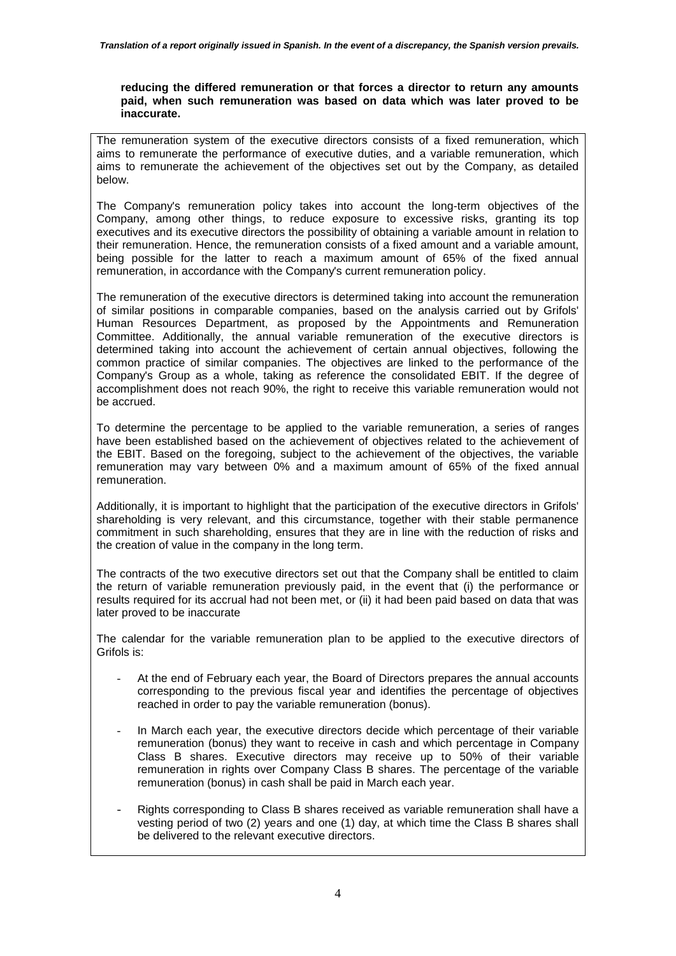#### **reducing the differed remuneration or that forces a director to return any amounts paid, when such remuneration was based on data which was later proved to be inaccurate.**

The remuneration system of the executive directors consists of a fixed remuneration, which aims to remunerate the performance of executive duties, and a variable remuneration, which aims to remunerate the achievement of the objectives set out by the Company, as detailed below.

The Company's remuneration policy takes into account the long-term objectives of the Company, among other things, to reduce exposure to excessive risks, granting its top executives and its executive directors the possibility of obtaining a variable amount in relation to their remuneration. Hence, the remuneration consists of a fixed amount and a variable amount, being possible for the latter to reach a maximum amount of 65% of the fixed annual remuneration, in accordance with the Company's current remuneration policy.

The remuneration of the executive directors is determined taking into account the remuneration of similar positions in comparable companies, based on the analysis carried out by Grifols' Human Resources Department, as proposed by the Appointments and Remuneration Committee. Additionally, the annual variable remuneration of the executive directors is determined taking into account the achievement of certain annual objectives, following the common practice of similar companies. The objectives are linked to the performance of the Company's Group as a whole, taking as reference the consolidated EBIT. If the degree of accomplishment does not reach 90%, the right to receive this variable remuneration would not be accrued.

To determine the percentage to be applied to the variable remuneration, a series of ranges have been established based on the achievement of objectives related to the achievement of the EBIT. Based on the foregoing, subject to the achievement of the objectives, the variable remuneration may vary between 0% and a maximum amount of 65% of the fixed annual remuneration.

Additionally, it is important to highlight that the participation of the executive directors in Grifols' shareholding is very relevant, and this circumstance, together with their stable permanence commitment in such shareholding, ensures that they are in line with the reduction of risks and the creation of value in the company in the long term.

The contracts of the two executive directors set out that the Company shall be entitled to claim the return of variable remuneration previously paid, in the event that (i) the performance or results required for its accrual had not been met, or (ii) it had been paid based on data that was later proved to be inaccurate

The calendar for the variable remuneration plan to be applied to the executive directors of Grifols is:

- At the end of February each year, the Board of Directors prepares the annual accounts corresponding to the previous fiscal year and identifies the percentage of objectives reached in order to pay the variable remuneration (bonus).
- In March each year, the executive directors decide which percentage of their variable remuneration (bonus) they want to receive in cash and which percentage in Company Class B shares. Executive directors may receive up to 50% of their variable remuneration in rights over Company Class B shares. The percentage of the variable remuneration (bonus) in cash shall be paid in March each year.
- Rights corresponding to Class B shares received as variable remuneration shall have a vesting period of two (2) years and one (1) day, at which time the Class B shares shall be delivered to the relevant executive directors.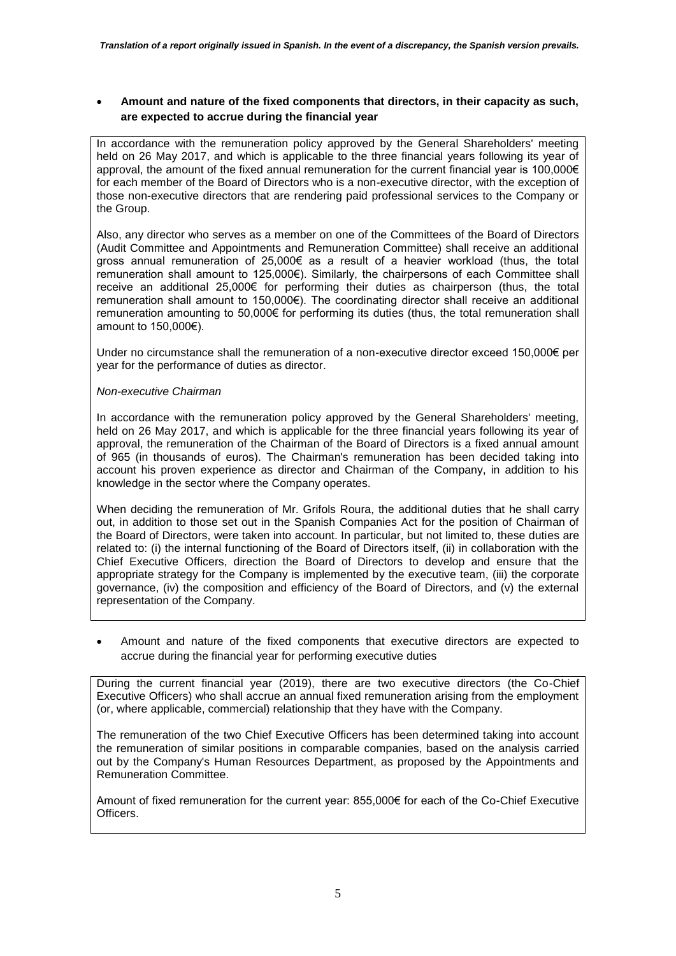**Amount and nature of the fixed components that directors, in their capacity as such, are expected to accrue during the financial year**

In accordance with the remuneration policy approved by the General Shareholders' meeting held on 26 May 2017, and which is applicable to the three financial years following its year of approval, the amount of the fixed annual remuneration for the current financial year is 100,000€ for each member of the Board of Directors who is a non-executive director, with the exception of those non-executive directors that are rendering paid professional services to the Company or the Group.

Also, any director who serves as a member on one of the Committees of the Board of Directors (Audit Committee and Appointments and Remuneration Committee) shall receive an additional gross annual remuneration of 25,000€ as a result of a heavier workload (thus, the total remuneration shall amount to 125,000€). Similarly, the chairpersons of each Committee shall receive an additional 25,000€ for performing their duties as chairperson (thus, the total remuneration shall amount to 150,000€). The coordinating director shall receive an additional remuneration amounting to 50,000€ for performing its duties (thus, the total remuneration shall amount to 150,000€).

Under no circumstance shall the remuneration of a non-executive director exceed 150,000€ per year for the performance of duties as director.

#### *Non-executive Chairman*

In accordance with the remuneration policy approved by the General Shareholders' meeting, held on 26 May 2017, and which is applicable for the three financial years following its year of approval, the remuneration of the Chairman of the Board of Directors is a fixed annual amount of 965 (in thousands of euros). The Chairman's remuneration has been decided taking into account his proven experience as director and Chairman of the Company, in addition to his knowledge in the sector where the Company operates.

When deciding the remuneration of Mr. Grifols Roura, the additional duties that he shall carry out, in addition to those set out in the Spanish Companies Act for the position of Chairman of the Board of Directors, were taken into account. In particular, but not limited to, these duties are related to: (i) the internal functioning of the Board of Directors itself, (ii) in collaboration with the Chief Executive Officers, direction the Board of Directors to develop and ensure that the appropriate strategy for the Company is implemented by the executive team, (iii) the corporate governance, (iv) the composition and efficiency of the Board of Directors, and (v) the external representation of the Company.

 Amount and nature of the fixed components that executive directors are expected to accrue during the financial year for performing executive duties

During the current financial year (2019), there are two executive directors (the Co-Chief Executive Officers) who shall accrue an annual fixed remuneration arising from the employment (or, where applicable, commercial) relationship that they have with the Company.

The remuneration of the two Chief Executive Officers has been determined taking into account the remuneration of similar positions in comparable companies, based on the analysis carried out by the Company's Human Resources Department, as proposed by the Appointments and Remuneration Committee.

Amount of fixed remuneration for the current year: 855,000€ for each of the Co-Chief Executive Officers.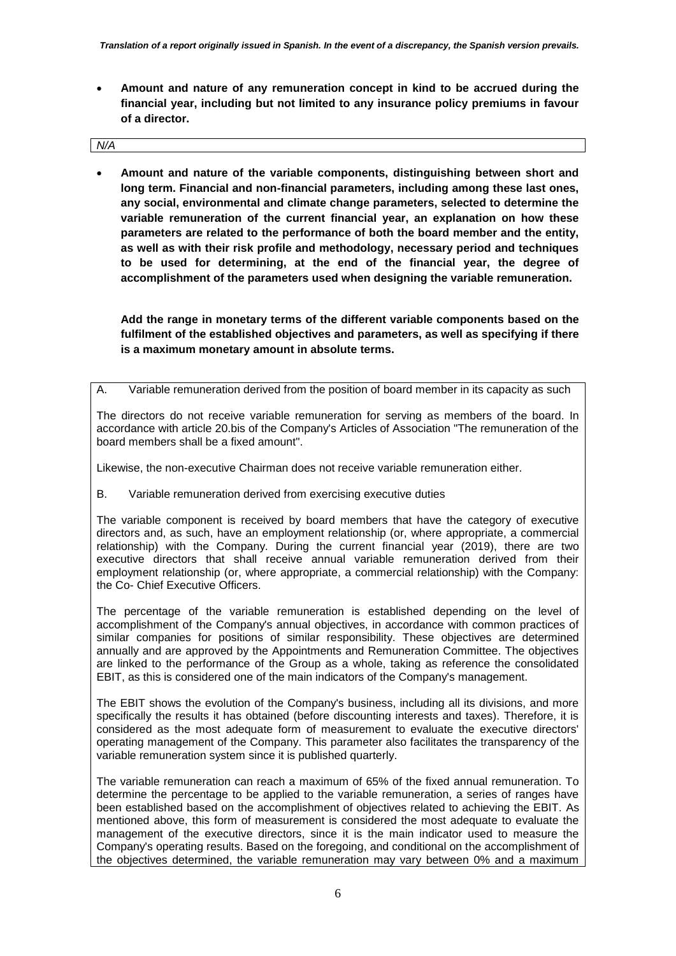**Amount and nature of any remuneration concept in kind to be accrued during the financial year, including but not limited to any insurance policy premiums in favour of a director.**

| N/A |  |
|-----|--|

 **Amount and nature of the variable components, distinguishing between short and long term. Financial and non-financial parameters, including among these last ones, any social, environmental and climate change parameters, selected to determine the variable remuneration of the current financial year, an explanation on how these parameters are related to the performance of both the board member and the entity, as well as with their risk profile and methodology, necessary period and techniques to be used for determining, at the end of the financial year, the degree of accomplishment of the parameters used when designing the variable remuneration.** 

**Add the range in monetary terms of the different variable components based on the fulfilment of the established objectives and parameters, as well as specifying if there is a maximum monetary amount in absolute terms.**

A. Variable remuneration derived from the position of board member in its capacity as such

The directors do not receive variable remuneration for serving as members of the board. In accordance with article 20.bis of the Company's Articles of Association "The remuneration of the board members shall be a fixed amount".

Likewise, the non-executive Chairman does not receive variable remuneration either.

B. Variable remuneration derived from exercising executive duties

The variable component is received by board members that have the category of executive directors and, as such, have an employment relationship (or, where appropriate, a commercial relationship) with the Company. During the current financial year (2019), there are two executive directors that shall receive annual variable remuneration derived from their employment relationship (or, where appropriate, a commercial relationship) with the Company: the Co- Chief Executive Officers.

The percentage of the variable remuneration is established depending on the level of accomplishment of the Company's annual objectives, in accordance with common practices of similar companies for positions of similar responsibility. These objectives are determined annually and are approved by the Appointments and Remuneration Committee. The objectives are linked to the performance of the Group as a whole, taking as reference the consolidated EBIT, as this is considered one of the main indicators of the Company's management.

The EBIT shows the evolution of the Company's business, including all its divisions, and more specifically the results it has obtained (before discounting interests and taxes). Therefore, it is considered as the most adequate form of measurement to evaluate the executive directors' operating management of the Company. This parameter also facilitates the transparency of the variable remuneration system since it is published quarterly.

The variable remuneration can reach a maximum of 65% of the fixed annual remuneration. To determine the percentage to be applied to the variable remuneration, a series of ranges have been established based on the accomplishment of objectives related to achieving the EBIT. As mentioned above, this form of measurement is considered the most adequate to evaluate the management of the executive directors, since it is the main indicator used to measure the Company's operating results. Based on the foregoing, and conditional on the accomplishment of the objectives determined, the variable remuneration may vary between 0% and a maximum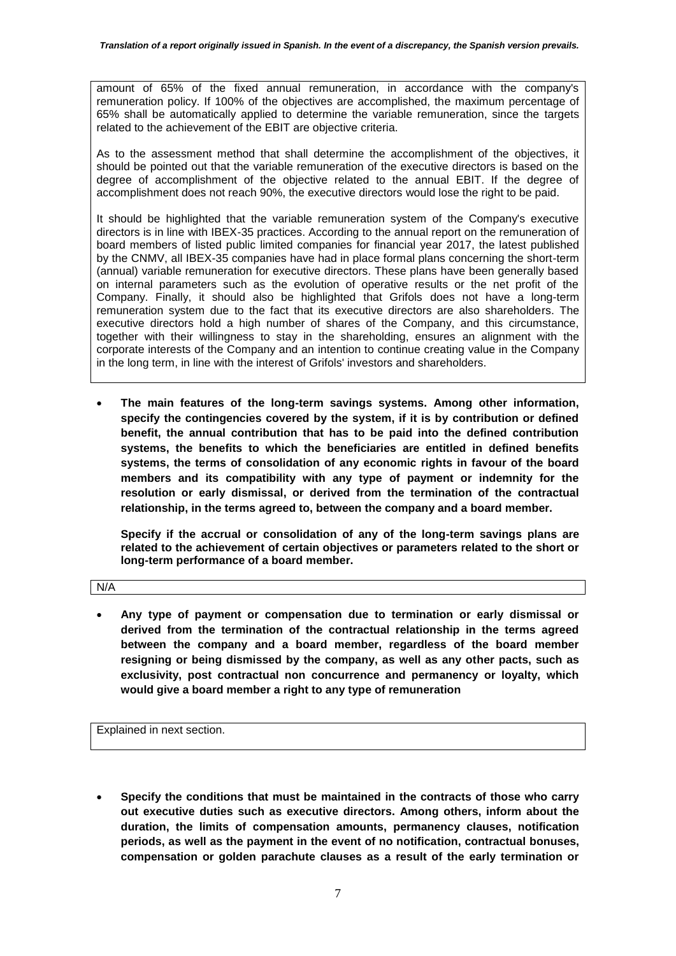amount of 65% of the fixed annual remuneration, in accordance with the company's remuneration policy. If 100% of the objectives are accomplished, the maximum percentage of 65% shall be automatically applied to determine the variable remuneration, since the targets related to the achievement of the EBIT are objective criteria.

As to the assessment method that shall determine the accomplishment of the objectives, it should be pointed out that the variable remuneration of the executive directors is based on the degree of accomplishment of the objective related to the annual EBIT. If the degree of accomplishment does not reach 90%, the executive directors would lose the right to be paid.

It should be highlighted that the variable remuneration system of the Company's executive directors is in line with IBEX-35 practices. According to the annual report on the remuneration of board members of listed public limited companies for financial year 2017, the latest published by the CNMV, all IBEX-35 companies have had in place formal plans concerning the short-term (annual) variable remuneration for executive directors. These plans have been generally based on internal parameters such as the evolution of operative results or the net profit of the Company. Finally, it should also be highlighted that Grifols does not have a long-term remuneration system due to the fact that its executive directors are also shareholders. The executive directors hold a high number of shares of the Company, and this circumstance, together with their willingness to stay in the shareholding, ensures an alignment with the corporate interests of the Company and an intention to continue creating value in the Company in the long term, in line with the interest of Grifols' investors and shareholders.

 **The main features of the long-term savings systems. Among other information, specify the contingencies covered by the system, if it is by contribution or defined benefit, the annual contribution that has to be paid into the defined contribution systems, the benefits to which the beneficiaries are entitled in defined benefits systems, the terms of consolidation of any economic rights in favour of the board members and its compatibility with any type of payment or indemnity for the resolution or early dismissal, or derived from the termination of the contractual relationship, in the terms agreed to, between the company and a board member.**

**Specify if the accrual or consolidation of any of the long-term savings plans are related to the achievement of certain objectives or parameters related to the short or long-term performance of a board member.**

N/A

 **Any type of payment or compensation due to termination or early dismissal or derived from the termination of the contractual relationship in the terms agreed between the company and a board member, regardless of the board member resigning or being dismissed by the company, as well as any other pacts, such as exclusivity, post contractual non concurrence and permanency or loyalty, which would give a board member a right to any type of remuneration**

Explained in next section.

 **Specify the conditions that must be maintained in the contracts of those who carry out executive duties such as executive directors. Among others, inform about the duration, the limits of compensation amounts, permanency clauses, notification periods, as well as the payment in the event of no notification, contractual bonuses, compensation or golden parachute clauses as a result of the early termination or**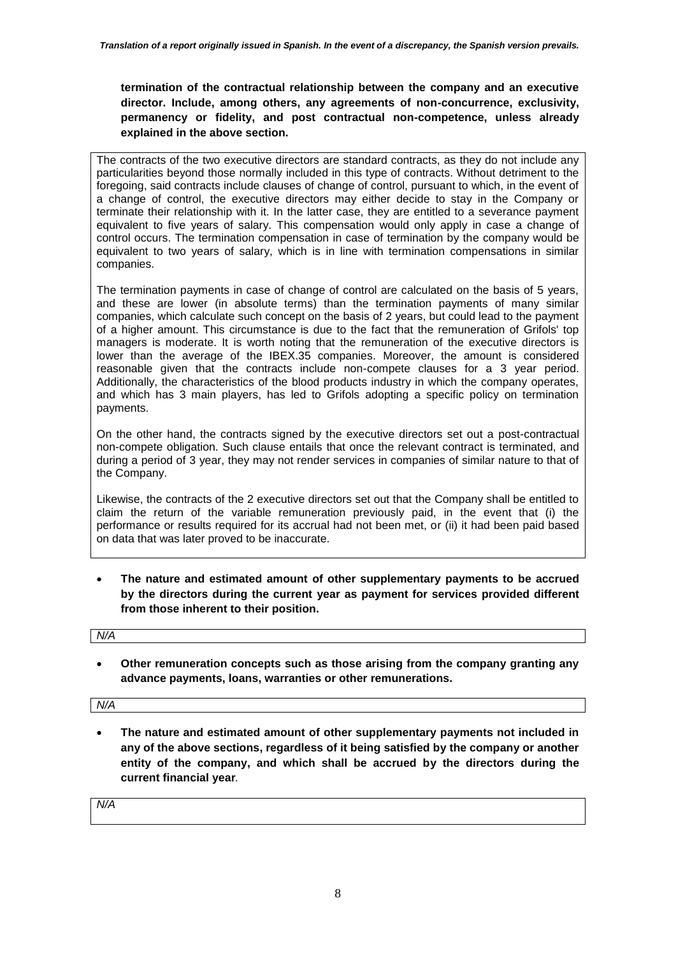**termination of the contractual relationship between the company and an executive director. Include, among others, any agreements of non-concurrence, exclusivity, permanency or fidelity, and post contractual non-competence, unless already explained in the above section.**

The contracts of the two executive directors are standard contracts, as they do not include any particularities beyond those normally included in this type of contracts. Without detriment to the foregoing, said contracts include clauses of change of control, pursuant to which, in the event of a change of control, the executive directors may either decide to stay in the Company or terminate their relationship with it. In the latter case, they are entitled to a severance payment equivalent to five years of salary. This compensation would only apply in case a change of control occurs. The termination compensation in case of termination by the company would be equivalent to two years of salary, which is in line with termination compensations in similar companies.

The termination payments in case of change of control are calculated on the basis of 5 years, and these are lower (in absolute terms) than the termination payments of many similar companies, which calculate such concept on the basis of 2 years, but could lead to the payment of a higher amount. This circumstance is due to the fact that the remuneration of Grifols' top managers is moderate. It is worth noting that the remuneration of the executive directors is lower than the average of the IBEX.35 companies. Moreover, the amount is considered reasonable given that the contracts include non-compete clauses for a 3 year period. Additionally, the characteristics of the blood products industry in which the company operates, and which has 3 main players, has led to Grifols adopting a specific policy on termination payments.

On the other hand, the contracts signed by the executive directors set out a post-contractual non-compete obligation. Such clause entails that once the relevant contract is terminated, and during a period of 3 year, they may not render services in companies of similar nature to that of the Company.

Likewise, the contracts of the 2 executive directors set out that the Company shall be entitled to claim the return of the variable remuneration previously paid, in the event that (i) the performance or results required for its accrual had not been met, or (ii) it had been paid based on data that was later proved to be inaccurate.

 **The nature and estimated amount of other supplementary payments to be accrued by the directors during the current year as payment for services provided different from those inherent to their position.**

*N/A*

 **Other remuneration concepts such as those arising from the company granting any advance payments, loans, warranties or other remunerations.**

*N/A*

 **The nature and estimated amount of other supplementary payments not included in any of the above sections, regardless of it being satisfied by the company or another entity of the company, and which shall be accrued by the directors during the current financial year***.*

*N/A*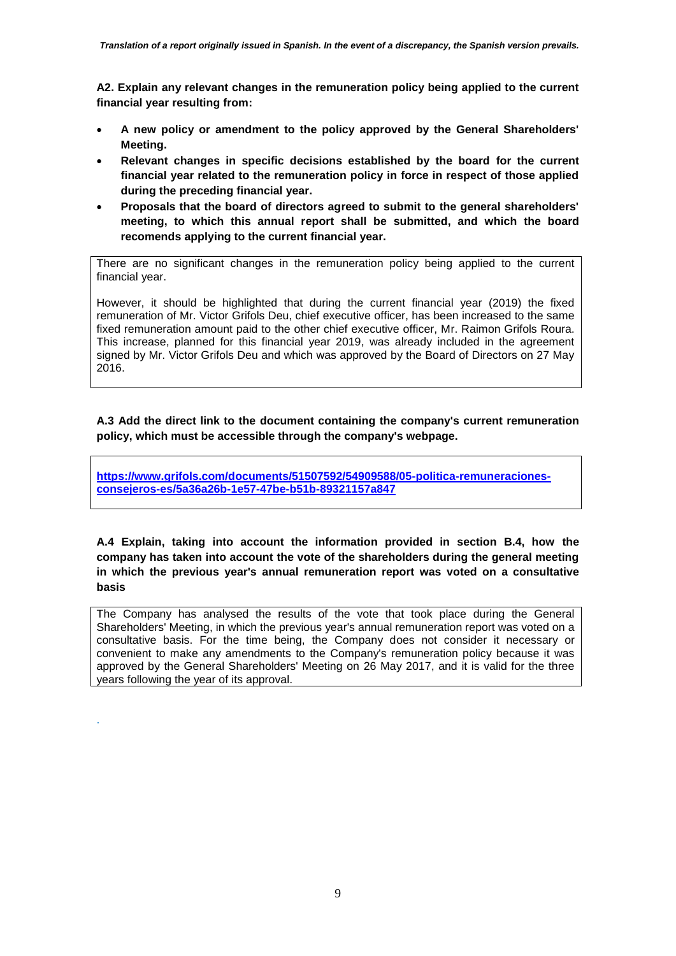**A2. Explain any relevant changes in the remuneration policy being applied to the current financial year resulting from:**

- **A new policy or amendment to the policy approved by the General Shareholders' Meeting.**
- **Relevant changes in specific decisions established by the board for the current financial year related to the remuneration policy in force in respect of those applied during the preceding financial year.**
- **Proposals that the board of directors agreed to submit to the general shareholders' meeting, to which this annual report shall be submitted, and which the board recomends applying to the current financial year.**

There are no significant changes in the remuneration policy being applied to the current financial year.

However, it should be highlighted that during the current financial year (2019) the fixed remuneration of Mr. Victor Grifols Deu, chief executive officer, has been increased to the same fixed remuneration amount paid to the other chief executive officer, Mr. Raimon Grifols Roura. This increase, planned for this financial year 2019, was already included in the agreement signed by Mr. Victor Grifols Deu and which was approved by the Board of Directors on 27 May 2016.

**A.3 Add the direct link to the document containing the company's current remuneration policy, which must be accessible through the company's webpage.**

**[https://www.grifols.com/documents/51507592/54909588/05-politica-remuneraciones](https://www.grifols.com/documents/51507592/54909588/05-politica-remuneraciones-consejeros-es/5a36a26b-1e57-47be-b51b-89321157a847)[consejeros-es/5a36a26b-1e57-47be-b51b-89321157a847](https://www.grifols.com/documents/51507592/54909588/05-politica-remuneraciones-consejeros-es/5a36a26b-1e57-47be-b51b-89321157a847)**

**A.4 Explain, taking into account the information provided in section B.4, how the company has taken into account the vote of the shareholders during the general meeting in which the previous year's annual remuneration report was voted on a consultative basis**

The Company has analysed the results of the vote that took place during the General Shareholders' Meeting, in which the previous year's annual remuneration report was voted on a consultative basis. For the time being, the Company does not consider it necessary or convenient to make any amendments to the Company's remuneration policy because it was approved by the General Shareholders' Meeting on 26 May 2017, and it is valid for the three years following the year of its approval.

.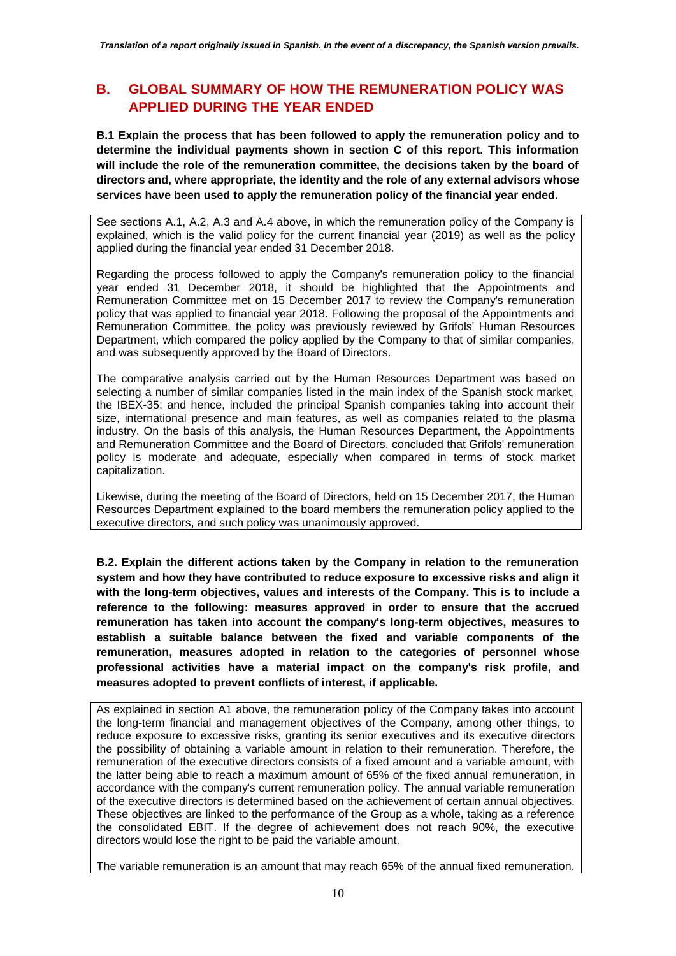# **B. GLOBAL SUMMARY OF HOW THE REMUNERATION POLICY WAS APPLIED DURING THE YEAR ENDED**

**B.1 Explain the process that has been followed to apply the remuneration policy and to determine the individual payments shown in section C of this report. This information will include the role of the remuneration committee, the decisions taken by the board of directors and, where appropriate, the identity and the role of any external advisors whose services have been used to apply the remuneration policy of the financial year ended.**

See sections A.1, A.2, A.3 and A.4 above, in which the remuneration policy of the Company is explained, which is the valid policy for the current financial year (2019) as well as the policy applied during the financial year ended 31 December 2018.

Regarding the process followed to apply the Company's remuneration policy to the financial year ended 31 December 2018, it should be highlighted that the Appointments and Remuneration Committee met on 15 December 2017 to review the Company's remuneration policy that was applied to financial year 2018. Following the proposal of the Appointments and Remuneration Committee, the policy was previously reviewed by Grifols' Human Resources Department, which compared the policy applied by the Company to that of similar companies, and was subsequently approved by the Board of Directors.

The comparative analysis carried out by the Human Resources Department was based on selecting a number of similar companies listed in the main index of the Spanish stock market, the IBEX-35; and hence, included the principal Spanish companies taking into account their size, international presence and main features, as well as companies related to the plasma industry. On the basis of this analysis, the Human Resources Department, the Appointments and Remuneration Committee and the Board of Directors, concluded that Grifols' remuneration policy is moderate and adequate, especially when compared in terms of stock market capitalization.

Likewise, during the meeting of the Board of Directors, held on 15 December 2017, the Human Resources Department explained to the board members the remuneration policy applied to the executive directors, and such policy was unanimously approved.

**B.2. Explain the different actions taken by the Company in relation to the remuneration system and how they have contributed to reduce exposure to excessive risks and align it with the long-term objectives, values and interests of the Company. This is to include a reference to the following: measures approved in order to ensure that the accrued remuneration has taken into account the company's long-term objectives, measures to establish a suitable balance between the fixed and variable components of the remuneration, measures adopted in relation to the categories of personnel whose professional activities have a material impact on the company's risk profile, and measures adopted to prevent conflicts of interest, if applicable.**

As explained in section A1 above, the remuneration policy of the Company takes into account the long-term financial and management objectives of the Company, among other things, to reduce exposure to excessive risks, granting its senior executives and its executive directors the possibility of obtaining a variable amount in relation to their remuneration. Therefore, the remuneration of the executive directors consists of a fixed amount and a variable amount, with the latter being able to reach a maximum amount of 65% of the fixed annual remuneration, in accordance with the company's current remuneration policy. The annual variable remuneration of the executive directors is determined based on the achievement of certain annual objectives. These objectives are linked to the performance of the Group as a whole, taking as a reference the consolidated EBIT. If the degree of achievement does not reach 90%, the executive directors would lose the right to be paid the variable amount.

The variable remuneration is an amount that may reach 65% of the annual fixed remuneration.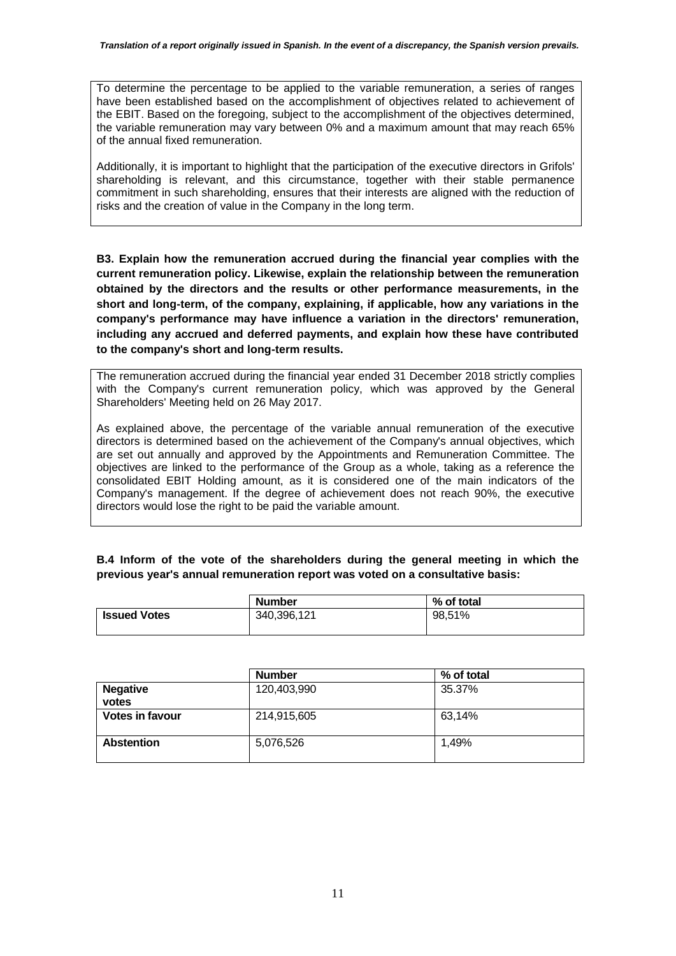To determine the percentage to be applied to the variable remuneration, a series of ranges have been established based on the accomplishment of objectives related to achievement of the EBIT. Based on the foregoing, subject to the accomplishment of the objectives determined, the variable remuneration may vary between 0% and a maximum amount that may reach 65% of the annual fixed remuneration.

Additionally, it is important to highlight that the participation of the executive directors in Grifols' shareholding is relevant, and this circumstance, together with their stable permanence commitment in such shareholding, ensures that their interests are aligned with the reduction of risks and the creation of value in the Company in the long term.

**B3. Explain how the remuneration accrued during the financial year complies with the current remuneration policy. Likewise, explain the relationship between the remuneration obtained by the directors and the results or other performance measurements, in the short and long-term, of the company, explaining, if applicable, how any variations in the company's performance may have influence a variation in the directors' remuneration, including any accrued and deferred payments, and explain how these have contributed to the company's short and long-term results.**

The remuneration accrued during the financial year ended 31 December 2018 strictly complies with the Company's current remuneration policy, which was approved by the General Shareholders' Meeting held on 26 May 2017.

As explained above, the percentage of the variable annual remuneration of the executive directors is determined based on the achievement of the Company's annual objectives, which are set out annually and approved by the Appointments and Remuneration Committee. The objectives are linked to the performance of the Group as a whole, taking as a reference the consolidated EBIT Holding amount, as it is considered one of the main indicators of the Company's management. If the degree of achievement does not reach 90%, the executive directors would lose the right to be paid the variable amount.

### **B.4 Inform of the vote of the shareholders during the general meeting in which the previous year's annual remuneration report was voted on a consultative basis:**

| <b>Number</b> | % of total |  |
|---------------|------------|--|
| 340,396,121   | 98,51%     |  |
|               |            |  |

|                        | <b>Number</b> | % of total |  |  |  |  |
|------------------------|---------------|------------|--|--|--|--|
| <b>Negative</b>        | 120,403,990   | 35.37%     |  |  |  |  |
| votes                  |               |            |  |  |  |  |
| <b>Votes in favour</b> | 214,915,605   | 63,14%     |  |  |  |  |
|                        |               |            |  |  |  |  |
| <b>Abstention</b>      | 5,076,526     | 1.49%      |  |  |  |  |
|                        |               |            |  |  |  |  |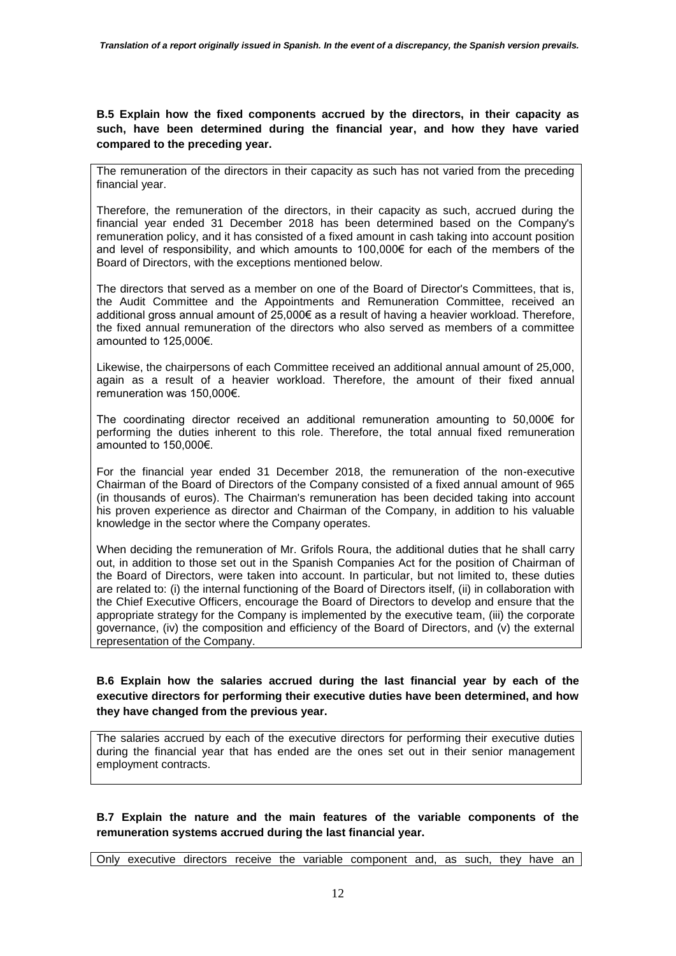**B.5 Explain how the fixed components accrued by the directors, in their capacity as such, have been determined during the financial year, and how they have varied compared to the preceding year.**

The remuneration of the directors in their capacity as such has not varied from the preceding financial year.

Therefore, the remuneration of the directors, in their capacity as such, accrued during the financial year ended 31 December 2018 has been determined based on the Company's remuneration policy, and it has consisted of a fixed amount in cash taking into account position and level of responsibility, and which amounts to 100,000€ for each of the members of the Board of Directors, with the exceptions mentioned below.

The directors that served as a member on one of the Board of Director's Committees, that is, the Audit Committee and the Appointments and Remuneration Committee, received an additional gross annual amount of 25,000€ as a result of having a heavier workload. Therefore, the fixed annual remuneration of the directors who also served as members of a committee amounted to 125,000€.

Likewise, the chairpersons of each Committee received an additional annual amount of 25,000, again as a result of a heavier workload. Therefore, the amount of their fixed annual remuneration was 150,000€.

The coordinating director received an additional remuneration amounting to 50,000€ for performing the duties inherent to this role. Therefore, the total annual fixed remuneration amounted to 150,000€.

For the financial year ended 31 December 2018, the remuneration of the non-executive Chairman of the Board of Directors of the Company consisted of a fixed annual amount of 965 (in thousands of euros). The Chairman's remuneration has been decided taking into account his proven experience as director and Chairman of the Company, in addition to his valuable knowledge in the sector where the Company operates.

When deciding the remuneration of Mr. Grifols Roura, the additional duties that he shall carry out, in addition to those set out in the Spanish Companies Act for the position of Chairman of the Board of Directors, were taken into account. In particular, but not limited to, these duties are related to: (i) the internal functioning of the Board of Directors itself, (ii) in collaboration with the Chief Executive Officers, encourage the Board of Directors to develop and ensure that the appropriate strategy for the Company is implemented by the executive team, (iii) the corporate governance, (iv) the composition and efficiency of the Board of Directors, and (v) the external representation of the Company.

### **B.6 Explain how the salaries accrued during the last financial year by each of the executive directors for performing their executive duties have been determined, and how they have changed from the previous year.**

The salaries accrued by each of the executive directors for performing their executive duties during the financial year that has ended are the ones set out in their senior management employment contracts.

**B.7 Explain the nature and the main features of the variable components of the remuneration systems accrued during the last financial year.**

Only executive directors receive the variable component and, as such, they have an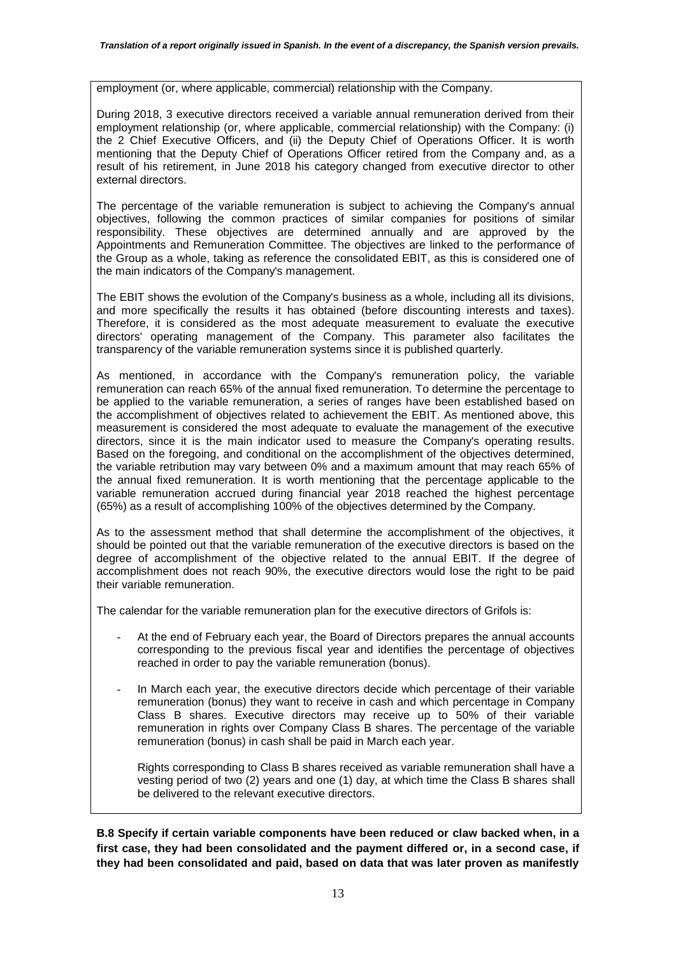employment (or, where applicable, commercial) relationship with the Company.

During 2018, 3 executive directors received a variable annual remuneration derived from their employment relationship (or, where applicable, commercial relationship) with the Company: (i) the 2 Chief Executive Officers, and (ii) the Deputy Chief of Operations Officer. It is worth mentioning that the Deputy Chief of Operations Officer retired from the Company and, as a result of his retirement, in June 2018 his category changed from executive director to other external directors.

The percentage of the variable remuneration is subject to achieving the Company's annual objectives, following the common practices of similar companies for positions of similar responsibility. These objectives are determined annually and are approved by the Appointments and Remuneration Committee. The objectives are linked to the performance of the Group as a whole, taking as reference the consolidated EBIT, as this is considered one of the main indicators of the Company's management.

The EBIT shows the evolution of the Company's business as a whole, including all its divisions, and more specifically the results it has obtained (before discounting interests and taxes). Therefore, it is considered as the most adequate measurement to evaluate the executive directors' operating management of the Company. This parameter also facilitates the transparency of the variable remuneration systems since it is published quarterly.

As mentioned, in accordance with the Company's remuneration policy, the variable remuneration can reach 65% of the annual fixed remuneration. To determine the percentage to be applied to the variable remuneration, a series of ranges have been established based on the accomplishment of objectives related to achievement the EBIT. As mentioned above, this measurement is considered the most adequate to evaluate the management of the executive directors, since it is the main indicator used to measure the Company's operating results. Based on the foregoing, and conditional on the accomplishment of the objectives determined, the variable retribution may vary between 0% and a maximum amount that may reach 65% of the annual fixed remuneration. It is worth mentioning that the percentage applicable to the variable remuneration accrued during financial year 2018 reached the highest percentage (65%) as a result of accomplishing 100% of the objectives determined by the Company.

As to the assessment method that shall determine the accomplishment of the objectives, it should be pointed out that the variable remuneration of the executive directors is based on the degree of accomplishment of the objective related to the annual EBIT. If the degree of accomplishment does not reach 90%, the executive directors would lose the right to be paid their variable remuneration.

The calendar for the variable remuneration plan for the executive directors of Grifols is:

- At the end of February each year, the Board of Directors prepares the annual accounts corresponding to the previous fiscal year and identifies the percentage of objectives reached in order to pay the variable remuneration (bonus).
- In March each year, the executive directors decide which percentage of their variable remuneration (bonus) they want to receive in cash and which percentage in Company Class B shares. Executive directors may receive up to 50% of their variable remuneration in rights over Company Class B shares. The percentage of the variable remuneration (bonus) in cash shall be paid in March each year.

Rights corresponding to Class B shares received as variable remuneration shall have a vesting period of two (2) years and one (1) day, at which time the Class B shares shall be delivered to the relevant executive directors.

**B.8 Specify if certain variable components have been reduced or claw backed when, in a first case, they had been consolidated and the payment differed or, in a second case, if they had been consolidated and paid, based on data that was later proven as manifestly**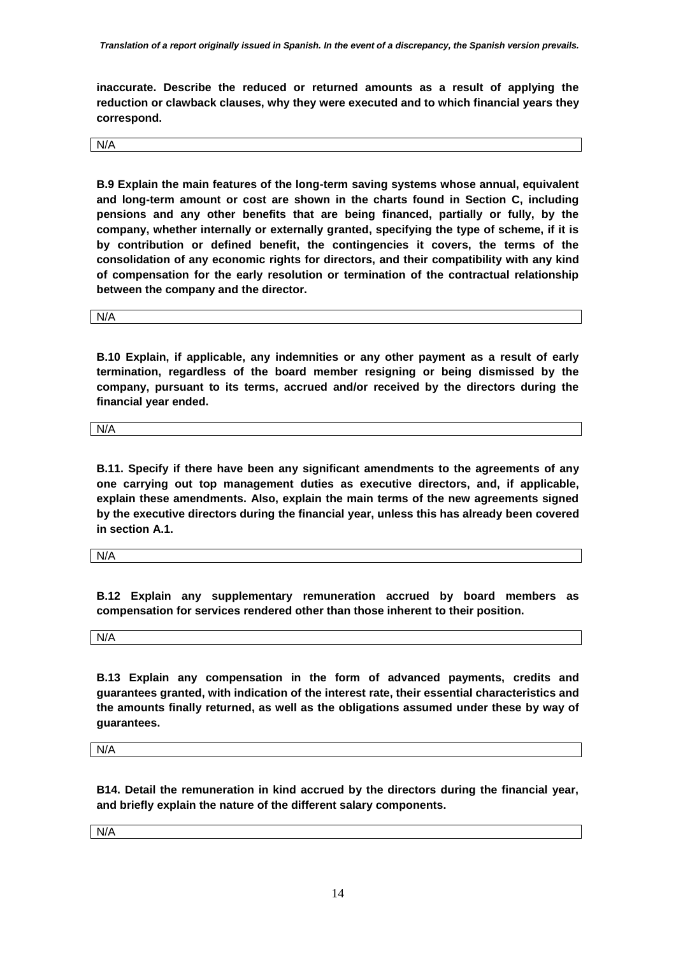**inaccurate. Describe the reduced or returned amounts as a result of applying the reduction or clawback clauses, why they were executed and to which financial years they correspond.**

N/A

**B.9 Explain the main features of the long-term saving systems whose annual, equivalent and long-term amount or cost are shown in the charts found in Section C, including pensions and any other benefits that are being financed, partially or fully, by the company, whether internally or externally granted, specifying the type of scheme, if it is by contribution or defined benefit, the contingencies it covers, the terms of the consolidation of any economic rights for directors, and their compatibility with any kind of compensation for the early resolution or termination of the contractual relationship between the company and the director.**

N/A

**B.10 Explain, if applicable, any indemnities or any other payment as a result of early termination, regardless of the board member resigning or being dismissed by the company, pursuant to its terms, accrued and/or received by the directors during the financial year ended.**

N/A

**B.11. Specify if there have been any significant amendments to the agreements of any one carrying out top management duties as executive directors, and, if applicable, explain these amendments. Also, explain the main terms of the new agreements signed by the executive directors during the financial year, unless this has already been covered in section A.1.**

N/A

**B.12 Explain any supplementary remuneration accrued by board members as compensation for services rendered other than those inherent to their position.**

N/A

**B.13 Explain any compensation in the form of advanced payments, credits and guarantees granted, with indication of the interest rate, their essential characteristics and the amounts finally returned, as well as the obligations assumed under these by way of guarantees.**

N/A

**B14. Detail the remuneration in kind accrued by the directors during the financial year, and briefly explain the nature of the different salary components.**

N/A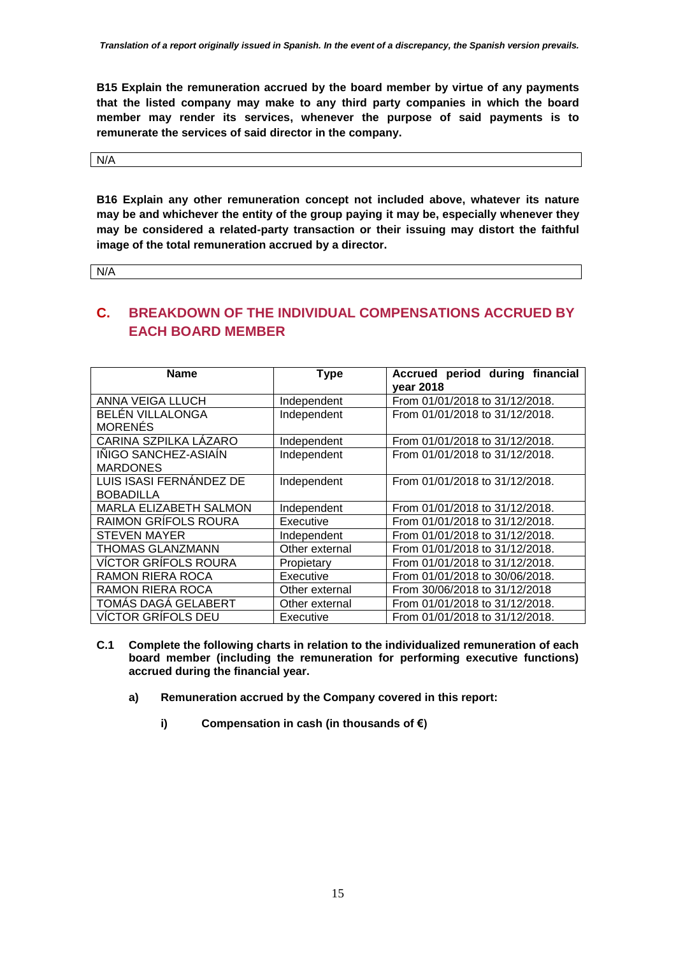**B15 Explain the remuneration accrued by the board member by virtue of any payments that the listed company may make to any third party companies in which the board member may render its services, whenever the purpose of said payments is to remunerate the services of said director in the company.**

N/A

**B16 Explain any other remuneration concept not included above, whatever its nature may be and whichever the entity of the group paying it may be, especially whenever they may be considered a related-party transaction or their issuing may distort the faithful image of the total remuneration accrued by a director.**

N/A

## **C. BREAKDOWN OF THE INDIVIDUAL COMPENSATIONS ACCRUED BY EACH BOARD MEMBER**

| <b>Name</b>                 | <b>Type</b>    | period during financial<br><b>Accrued</b><br>year 2018 |
|-----------------------------|----------------|--------------------------------------------------------|
| <b>ANNA VEIGA LLUCH</b>     | Independent    | From 01/01/2018 to 31/12/2018.                         |
| <b>BELEN VILLALONGA</b>     | Independent    | From 01/01/2018 to 31/12/2018.                         |
| <b>MORENÉS</b>              |                |                                                        |
| CARINA SZPILKA LÁZARO       | Independent    | From 01/01/2018 to 31/12/2018.                         |
| IÑIGO SANCHEZ-ASIAÍN        | Independent    | From 01/01/2018 to 31/12/2018.                         |
| <b>MARDONES</b>             |                |                                                        |
| LUIS ISASI FERNANDEZ DE     | Independent    | From 01/01/2018 to 31/12/2018.                         |
| <b>BOBADILLA</b>            |                |                                                        |
| MARLA ELIZABETH SALMON      | Independent    | From 01/01/2018 to 31/12/2018.                         |
| <b>RAIMON GRÍFOLS ROURA</b> | Executive      | From 01/01/2018 to 31/12/2018.                         |
| <b>STEVEN MAYER</b>         | Independent    | From 01/01/2018 to 31/12/2018.                         |
| <b>THOMAS GLANZMANN</b>     | Other external | From 01/01/2018 to 31/12/2018.                         |
| <b>VÍCTOR GRÍFOLS ROURA</b> | Propietary     | From 01/01/2018 to 31/12/2018.                         |
| <b>RAMON RIERA ROCA</b>     | Executive      | From 01/01/2018 to 30/06/2018.                         |
| <b>RAMON RIERA ROCA</b>     | Other external | From 30/06/2018 to 31/12/2018                          |
| TOMÁS DAGÁ GELABERT         | Other external | From 01/01/2018 to 31/12/2018.                         |
| <b>VÍCTOR GRÍFOLS DEU</b>   | Executive      | From 01/01/2018 to 31/12/2018.                         |

- **C.1 Complete the following charts in relation to the individualized remuneration of each board member (including the remuneration for performing executive functions) accrued during the financial year.**
	- **a) Remuneration accrued by the Company covered in this report:**
		- **i) Compensation in cash (in thousands of €)**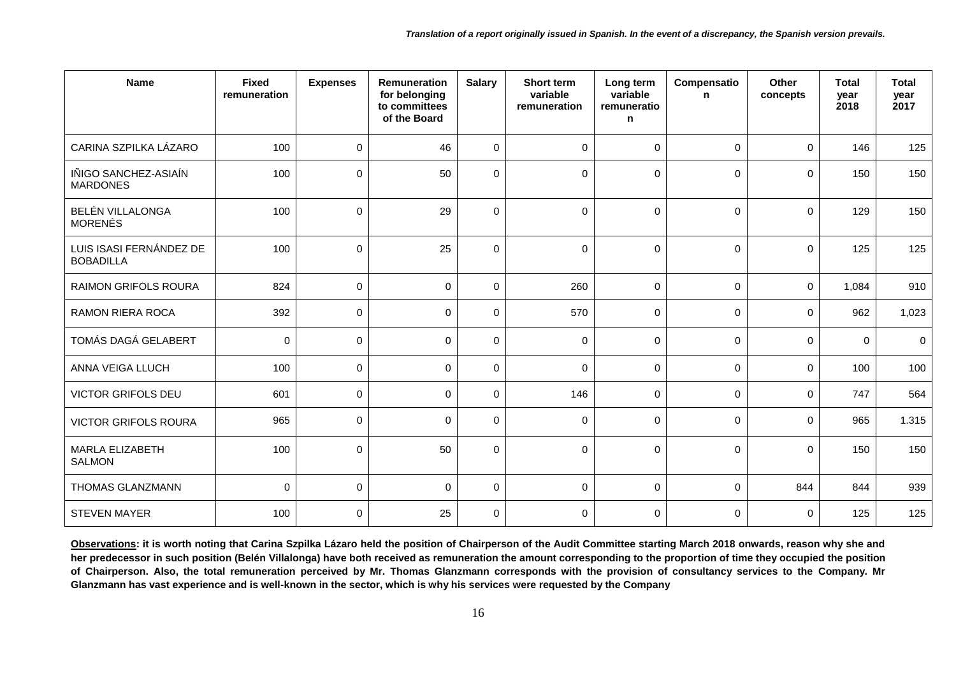| <b>Name</b>                                 | <b>Fixed</b><br>remuneration | <b>Expenses</b> | Remuneration<br>for belonging<br>to committees<br>of the Board | <b>Salary</b> | Short term<br>variable<br>remuneration | Long term<br>variable<br>remuneratio<br>n | Compensatio<br>$\mathbf n$ | Other<br>concepts   | <b>Total</b><br>year<br>2018 | <b>Total</b><br>year<br>2017 |
|---------------------------------------------|------------------------------|-----------------|----------------------------------------------------------------|---------------|----------------------------------------|-------------------------------------------|----------------------------|---------------------|------------------------------|------------------------------|
| CARINA SZPILKA LÁZARO                       | 100                          | $\mathbf 0$     | 46                                                             | $\mathbf 0$   | $\mathbf 0$                            | $\mathbf 0$                               | $\mathbf 0$                | $\mathbf 0$         | 146                          | 125                          |
| IÑIGO SANCHEZ-ASIAÍN<br><b>MARDONES</b>     | 100                          | 0               | 50                                                             | $\mathbf 0$   | 0                                      | $\Omega$                                  | $\mathbf 0$                | $\mathbf 0$         | 150                          | 150                          |
| BELÉN VILLALONGA<br><b>MORENÉS</b>          | 100                          | $\Omega$        | 29                                                             | $\Omega$      | $\Omega$                               | $\Omega$                                  | $\mathbf{0}$               | $\Omega$            | 129                          | 150                          |
| LUIS ISASI FERNÁNDEZ DE<br><b>BOBADILLA</b> | 100                          | $\mathbf 0$     | 25                                                             | $\mathbf 0$   | $\mathbf 0$                            | $\mathbf 0$                               | $\mathbf 0$                | $\mathbf 0$         | 125                          | 125                          |
| <b>RAIMON GRIFOLS ROURA</b>                 | 824                          | $\mathbf 0$     | $\mathbf{0}$                                                   | $\mathbf 0$   | 260                                    | $\mathbf 0$                               | $\mathbf{0}$               | $\mathbf 0$         | 1,084                        | 910                          |
| <b>RAMON RIERA ROCA</b>                     | 392                          | $\pmb{0}$       | 0                                                              | $\pmb{0}$     | 570                                    | $\mathbf 0$                               | $\mathbf 0$                | $\mathsf{O}\xspace$ | 962                          | 1,023                        |
| TOMÁS DAGÁ GELABERT                         | $\pmb{0}$                    | $\mathbf 0$     | $\mathbf 0$                                                    | $\mathbf 0$   | $\mathbf 0$                            | $\mathbf 0$                               | 0                          | 0                   | $\Omega$                     | 0                            |
| ANNA VEIGA LLUCH                            | 100                          | 0               | $\mathbf 0$                                                    | $\mathbf 0$   | $\Omega$                               | $\mathbf 0$                               | $\mathbf 0$                | $\mathbf 0$         | 100                          | 100                          |
| <b>VICTOR GRIFOLS DEU</b>                   | 601                          | $\mathbf 0$     | $\mathbf 0$                                                    | $\mathbf 0$   | 146                                    | $\mathbf 0$                               | $\mathbf 0$                | $\mathbf 0$         | 747                          | 564                          |
| <b>VICTOR GRIFOLS ROURA</b>                 | 965                          | $\mathbf 0$     | $\mathbf 0$                                                    | $\mathbf 0$   | $\mathbf 0$                            | $\mathbf 0$                               | $\mathbf 0$                | $\mathbf 0$         | 965                          | 1.315                        |
| <b>MARLA ELIZABETH</b><br><b>SALMON</b>     | 100                          | $\Omega$        | 50                                                             | $\Omega$      | $\Omega$                               | $\Omega$                                  | $\mathbf 0$                | $\mathbf 0$         | 150                          | 150                          |
| THOMAS GLANZMANN                            | $\mathbf 0$                  | $\Omega$        | $\mathbf 0$                                                    | $\mathbf 0$   | $\mathbf 0$                            | $\mathbf 0$                               | $\mathbf 0$                | 844                 | 844                          | 939                          |
| <b>STEVEN MAYER</b>                         | 100                          | $\mathbf 0$     | 25                                                             | $\mathbf 0$   | $\mathbf 0$                            | $\mathbf 0$                               | $\mathbf 0$                | $\mathsf{O}\xspace$ | 125                          | 125                          |

**Observations: it is worth noting that Carina Szpilka Lázaro held the position of Chairperson of the Audit Committee starting March 2018 onwards, reason why she and her predecessor in such position (Belén Villalonga) have both received as remuneration the amount corresponding to the proportion of time they occupied the position of Chairperson. Also, the total remuneration perceived by Mr. Thomas Glanzmann corresponds with the provision of consultancy services to the Company. Mr Glanzmann has vast experience and is well-known in the sector, which is why his services were requested by the Company**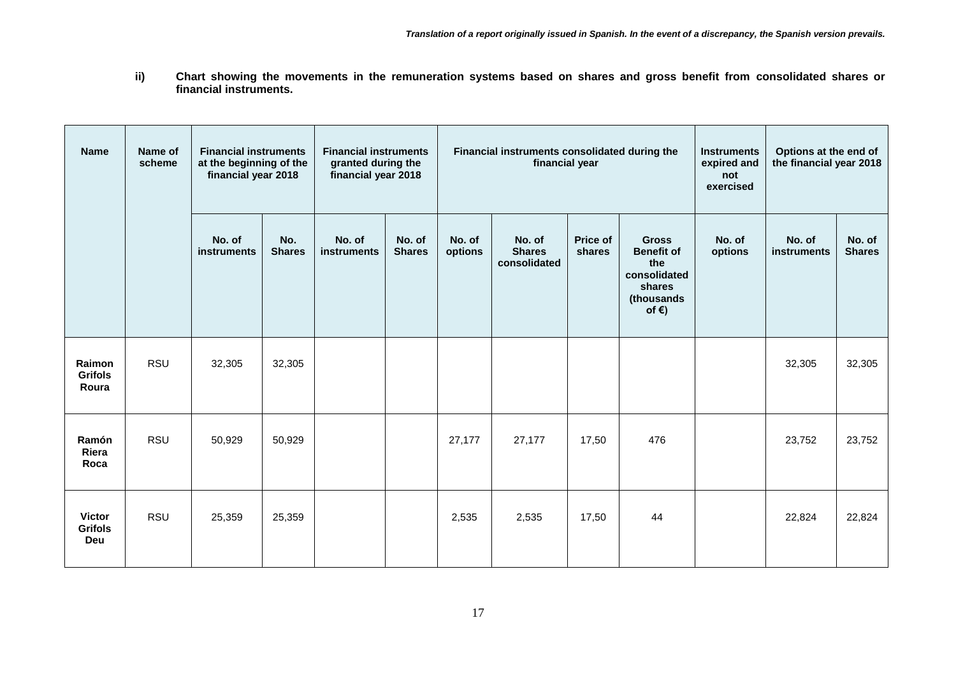**ii) Chart showing the movements in the remuneration systems based on shares and gross benefit from consolidated shares or financial instruments.** 

| <b>Name</b>                                   | Name of<br>scheme | <b>Financial instruments</b><br>at the beginning of the<br>financial year 2018 |                      | <b>Financial instruments</b><br>granted during the<br>financial year 2018 |                         |                   | Financial instruments consolidated during the<br>financial year |                    |                                                                                                     |                   | Options at the end of<br>the financial year 2018 |                         |
|-----------------------------------------------|-------------------|--------------------------------------------------------------------------------|----------------------|---------------------------------------------------------------------------|-------------------------|-------------------|-----------------------------------------------------------------|--------------------|-----------------------------------------------------------------------------------------------------|-------------------|--------------------------------------------------|-------------------------|
|                                               |                   | No. of<br>instruments                                                          | No.<br><b>Shares</b> | No. of<br><b>instruments</b>                                              | No. of<br><b>Shares</b> | No. of<br>options | No. of<br><b>Shares</b><br>consolidated                         | Price of<br>shares | <b>Gross</b><br><b>Benefit of</b><br>the<br>consolidated<br>shares<br>(thousands<br>of $\epsilon$ ) | No. of<br>options | No. of<br><b>instruments</b>                     | No. of<br><b>Shares</b> |
| Raimon<br><b>Grifols</b><br>Roura             | RSU               | 32,305                                                                         | 32,305               |                                                                           |                         |                   |                                                                 |                    |                                                                                                     |                   | 32,305                                           | 32,305                  |
| Ramón<br>Riera<br>Roca                        | <b>RSU</b>        | 50,929                                                                         | 50,929               |                                                                           |                         | 27,177            | 27,177                                                          | 17,50              | 476                                                                                                 |                   | 23,752                                           | 23,752                  |
| <b>Victor</b><br><b>Grifols</b><br><b>Deu</b> | <b>RSU</b>        | 25,359                                                                         | 25,359               |                                                                           |                         | 2,535             | 2,535                                                           | 17,50              | 44                                                                                                  |                   | 22,824                                           | 22,824                  |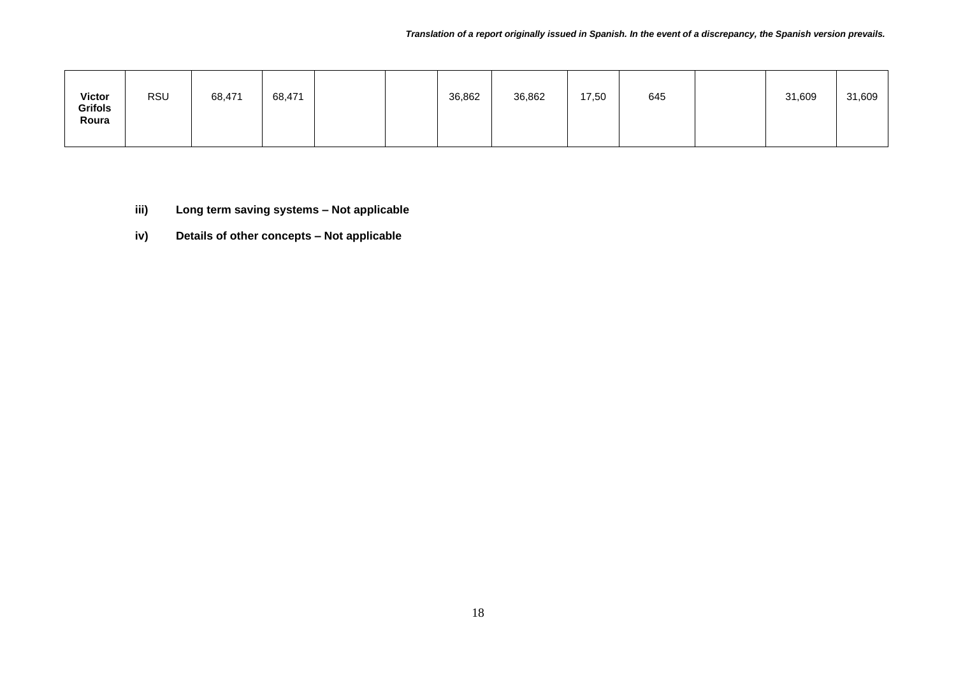| <b>Victor</b><br>Grifols<br>Roura | <b>RSU</b> | 68,471 | 68,471 |  |  | 36,862 | 36,862 | 17,50 | 645 |  | 31,609 | 31,609 |
|-----------------------------------|------------|--------|--------|--|--|--------|--------|-------|-----|--|--------|--------|
|-----------------------------------|------------|--------|--------|--|--|--------|--------|-------|-----|--|--------|--------|

- **iii) Long term saving systems – Not applicable**
- **iv) Details of other concepts – Not applicable**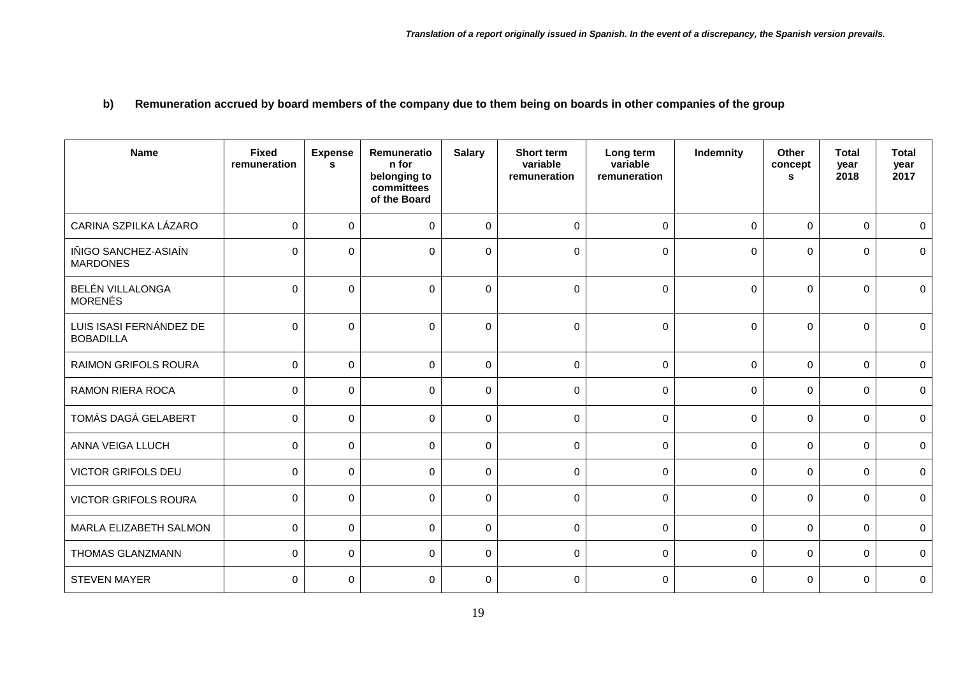**b) Remuneration accrued by board members of the company due to them being on boards in other companies of the group**

| <b>Name</b>                                 | <b>Fixed</b><br>remuneration | <b>Expense</b><br>s | Remuneratio<br>n for<br>belonging to<br>committees<br>of the Board | <b>Salary</b> | Short term<br>variable<br>remuneration | Long term<br>variable<br>remuneration | Indemnity | Other<br>concept<br><b>S</b> | <b>Total</b><br>year<br>2018 | <b>Total</b><br>year<br>2017 |
|---------------------------------------------|------------------------------|---------------------|--------------------------------------------------------------------|---------------|----------------------------------------|---------------------------------------|-----------|------------------------------|------------------------------|------------------------------|
| CARINA SZPILKA LÁZARO                       | $\Omega$                     | $\mathbf 0$         | $\mathbf 0$                                                        | $\mathbf 0$   | $\mathbf 0$                            | $\mathbf 0$                           | 0         | $\mathbf 0$                  | $\mathbf 0$                  | $\mathbf 0$                  |
| IÑIGO SANCHEZ-ASIAÍN<br><b>MARDONES</b>     | $\Omega$                     | $\Omega$            | $\mathbf{0}$                                                       | $\Omega$      | $\mathbf 0$                            | $\mathbf 0$                           | 0         | $\mathbf 0$                  | $\Omega$                     | $\mathbf 0$                  |
| BELÉN VILLALONGA<br><b>MORENÉS</b>          | $\Omega$                     | $\Omega$            | $\Omega$                                                           | $\mathbf 0$   | $\mathbf 0$                            | $\mathbf 0$                           | 0         | $\mathbf 0$                  | $\mathbf 0$                  | $\mathbf 0$                  |
| LUIS ISASI FERNÁNDEZ DE<br><b>BOBADILLA</b> | $\Omega$                     | $\mathbf 0$         | $\Omega$                                                           | $\mathbf 0$   | $\mathbf 0$                            | $\mathbf 0$                           | 0         | $\mathbf 0$                  | $\Omega$                     | $\mathbf 0$                  |
| <b>RAIMON GRIFOLS ROURA</b>                 | $\Omega$                     | $\mathbf{0}$        | $\Omega$                                                           | $\mathbf 0$   | $\mathbf 0$                            | $\Omega$                              | $\Omega$  | $\Omega$                     | $\Omega$                     | $\mathbf 0$                  |
| <b>RAMON RIERA ROCA</b>                     | $\mathbf 0$                  | $\mathbf 0$         | $\mathbf 0$                                                        | $\mathbf 0$   | $\mathbf 0$                            | $\mathbf 0$                           | 0         | $\mathbf 0$                  | $\mathbf 0$                  | 0                            |
| TOMÁS DAGÁ GELABERT                         | $\Omega$                     | $\mathbf 0$         | $\mathbf{0}$                                                       | $\pmb{0}$     | $\mathbf 0$                            | $\Omega$                              | 0         | $\mathbf 0$                  | $\Omega$                     | $\mathbf 0$                  |
| ANNA VEIGA LLUCH                            | $\Omega$                     | $\Omega$            | $\Omega$                                                           | $\Omega$      | $\mathbf 0$                            | $\Omega$                              | $\Omega$  | $\mathbf 0$                  | $\Omega$                     | $\mathbf 0$                  |
| <b>VICTOR GRIFOLS DEU</b>                   | $\Omega$                     | $\mathbf 0$         | $\Omega$                                                           | $\pmb{0}$     | 0                                      | $\mathbf 0$                           | 0         | $\mathbf 0$                  | $\Omega$                     | $\mathbf 0$                  |
| <b>VICTOR GRIFOLS ROURA</b>                 | $\Omega$                     | $\mathbf 0$         | $\Omega$                                                           | $\mathbf 0$   | $\mathbf 0$                            | $\Omega$                              | 0         | $\mathbf 0$                  | $\Omega$                     | $\mathbf 0$                  |
| MARLA ELIZABETH SALMON                      | $\Omega$                     | $\mathbf 0$         | $\Omega$                                                           | $\mathbf 0$   | $\mathbf 0$                            | $\Omega$                              | 0         | $\mathbf 0$                  | $\Omega$                     | $\mathbf 0$                  |
| THOMAS GLANZMANN                            | $\mathbf 0$                  | $\mathbf 0$         | $\Omega$                                                           | $\mathbf 0$   | 0                                      | $\mathbf 0$                           | 0         | $\mathbf 0$                  | $\Omega$                     | 0                            |
| <b>STEVEN MAYER</b>                         | $\Omega$                     | $\mathbf 0$         | $\Omega$                                                           | $\mathbf 0$   | $\mathbf 0$                            | $\mathbf 0$                           | 0         | $\mathbf 0$                  | $\Omega$                     | $\mathbf 0$                  |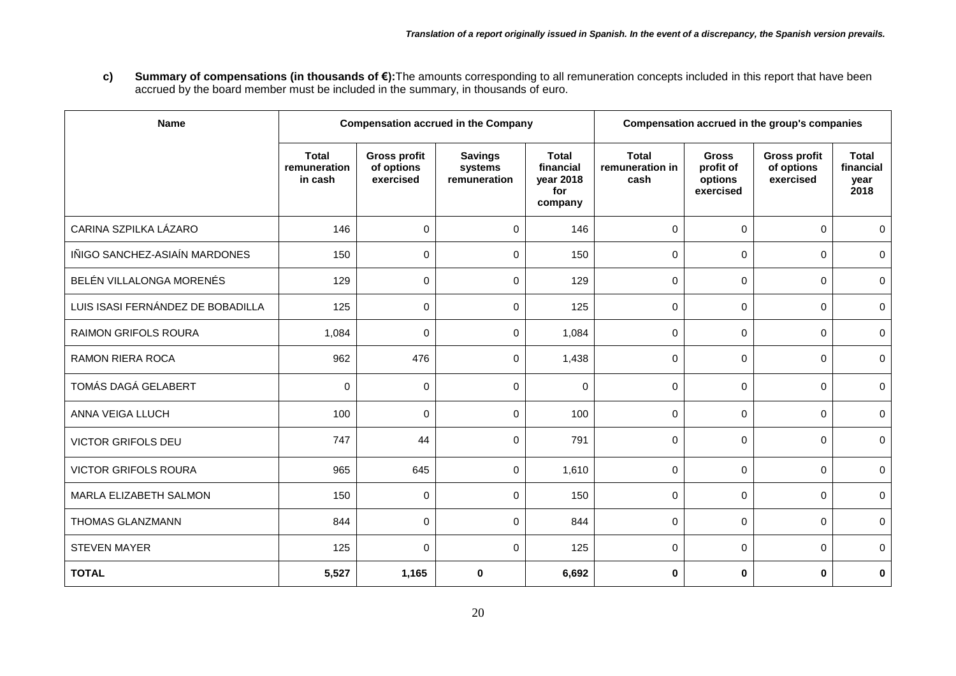**c) Summary of compensations (in thousands of €):**The amounts corresponding to all remuneration concepts included in this report that have been accrued by the board member must be included in the summary, in thousands of euro.

| <b>Name</b>                       |                                         |                                                | <b>Compensation accrued in the Company</b> | Compensation accrued in the group's companies            |                                         |                                                   |                                                |                                           |
|-----------------------------------|-----------------------------------------|------------------------------------------------|--------------------------------------------|----------------------------------------------------------|-----------------------------------------|---------------------------------------------------|------------------------------------------------|-------------------------------------------|
|                                   | <b>Total</b><br>remuneration<br>in cash | <b>Gross profit</b><br>of options<br>exercised | <b>Savings</b><br>systems<br>remuneration  | <b>Total</b><br>financial<br>year 2018<br>for<br>company | <b>Total</b><br>remuneration in<br>cash | <b>Gross</b><br>profit of<br>options<br>exercised | <b>Gross profit</b><br>of options<br>exercised | <b>Total</b><br>financial<br>year<br>2018 |
| CARINA SZPILKA LÁZARO             | 146                                     | 0                                              | $\mathbf 0$                                | 146                                                      | $\Omega$                                | $\Omega$                                          | $\Omega$                                       | $\mathbf{0}$                              |
| IÑIGO SANCHEZ-ASIAÍN MARDONES     | 150                                     | 0                                              | $\mathbf 0$                                | 150                                                      | 0                                       | $\Omega$                                          | $\Omega$                                       | $\mathbf{0}$                              |
| BELÉN VILLALONGA MORENÉS          | 129                                     | 0                                              | $\mathbf 0$                                | 129                                                      | 0                                       | $\Omega$                                          | $\Omega$                                       | $\mathbf 0$                               |
| LUIS ISASI FERNÁNDEZ DE BOBADILLA | 125                                     | 0                                              | $\mathbf 0$                                | 125                                                      | 0                                       | 0                                                 | $\mathbf 0$                                    | $\mathbf 0$                               |
| <b>RAIMON GRIFOLS ROURA</b>       | 1,084                                   | 0                                              | $\mathbf 0$                                | 1,084                                                    | $\Omega$                                | 0                                                 | $\Omega$                                       | $\Omega$                                  |
| <b>RAMON RIERA ROCA</b>           | 962                                     | 476                                            | $\mathbf 0$                                | 1,438                                                    | 0                                       | $\Omega$                                          | $\Omega$                                       | $\mathbf{0}$                              |
| TOMÁS DAGÁ GELABERT               | $\Omega$                                | 0                                              | $\mathbf 0$                                | $\Omega$                                                 | $\Omega$                                | $\Omega$                                          | $\Omega$                                       | $\mathbf{0}$                              |
| ANNA VEIGA LLUCH                  | 100                                     | 0                                              | $\mathbf 0$                                | 100                                                      | 0                                       | $\Omega$                                          | $\Omega$                                       | $\mathbf 0$                               |
| <b>VICTOR GRIFOLS DEU</b>         | 747                                     | 44                                             | $\mathbf 0$                                | 791                                                      | 0                                       | 0                                                 | $\mathbf 0$                                    | $\mathbf 0$                               |
| <b>VICTOR GRIFOLS ROURA</b>       | 965                                     | 645                                            | $\mathbf 0$                                | 1,610                                                    | 0                                       | $\mathbf 0$                                       | $\Omega$                                       | $\mathbf 0$                               |
| MARLA ELIZABETH SALMON            | 150                                     | 0                                              | $\mathbf{0}$                               | 150                                                      | $\Omega$                                | $\Omega$                                          | $\Omega$                                       | $\mathbf{0}$                              |
| THOMAS GLANZMANN                  | 844                                     | $\mathbf 0$                                    | $\mathbf 0$                                | 844                                                      | 0                                       | $\Omega$                                          | $\Omega$                                       | $\mathbf 0$                               |
| <b>STEVEN MAYER</b>               | 125                                     | 0                                              | $\mathbf 0$                                | 125                                                      | 0                                       | $\Omega$                                          | $\Omega$                                       | $\mathbf{0}$                              |
| <b>TOTAL</b>                      | 5,527                                   | 1,165                                          | $\bf{0}$                                   | 6,692                                                    | 0                                       | $\bf{0}$                                          | $\mathbf 0$                                    | $\bf{0}$                                  |